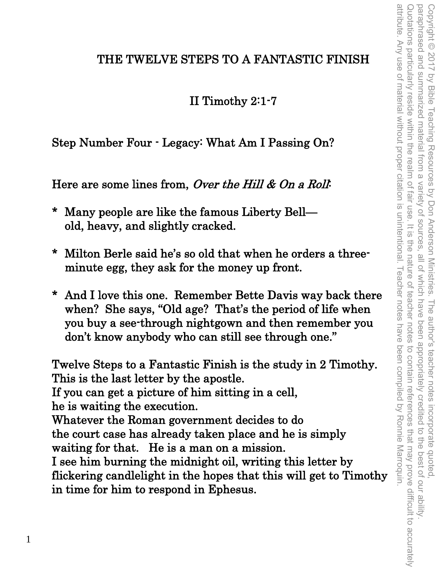## THE TWELVE STEPS TO A FANTASTIC FINISH

II Timothy 2:1-7

Step Number Four - Legacy: What Am I Passing On?

Here are some lines from, Over the Hill & On a Roll.

- \* Many people are like the famous Liberty Bell old, heavy, and slightly cracked.
- \* Milton Berle said he's so old that when he orders a threeminute egg, they ask for the money up front.
- And I love this one. Remember Bette Davis way back there when? She says, "Old age? That's the period of life when you buy a see-through nightgown and then remember you don't know anybody who can still see through one."

Twelve Steps to a Fantastic Finish is the study in 2 Timothy. This is the last letter by the apostle. If you can get a picture of him sitting in a cell, he is waiting the execution. Whatever the Roman government decides to do the court case has already taken place and he is simply waiting for that. He is a man on a mission. I see him burning the midnight oil, writing this letter by flickering candlelight in the hopes that this will get to Timothy in time for him to respond in Ephesus.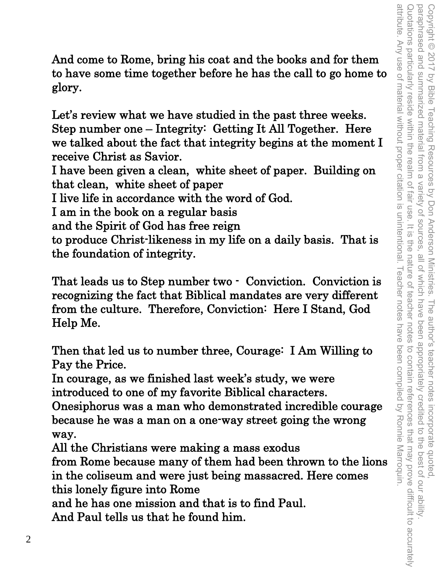And come to Rome, bring his coat and the books and for them to have some time together before he has the call to go home to glory.

Let's review what we have studied in the past three weeks. Step number one – Integrity: Getting It All Together. Here we talked about the fact that integrity begins at the moment I receive Christ as Savior.

I have been given a clean, white sheet of paper. Building on that clean, white sheet of paper

I live life in accordance with the word of God.

I am in the book on a regular basis

and the Spirit of God has free reign

to produce Christ-likeness in my life on a daily basis. That is the foundation of integrity.

That leads us to Step number two - Conviction. Conviction is recognizing the fact that Biblical mandates are very different from the culture. Therefore, Conviction: Here I Stand, God Help Me.

Then that led us to number three, Courage: I Am Willing to Pay the Price.

In courage, as we finished last week's study, we were introduced to one of my favorite Biblical characters.

Onesiphorus was a man who demonstrated incredible courage because he was a man on a one-way street going the wrong way.

All the Christians were making a mass exodus from Rome because many of them had been thrown to the lions in the coliseum and were just being massacred. Here comes this lonely figure into Rome

and he has one mission and that is to find Paul.

And Paul tells us that he found him.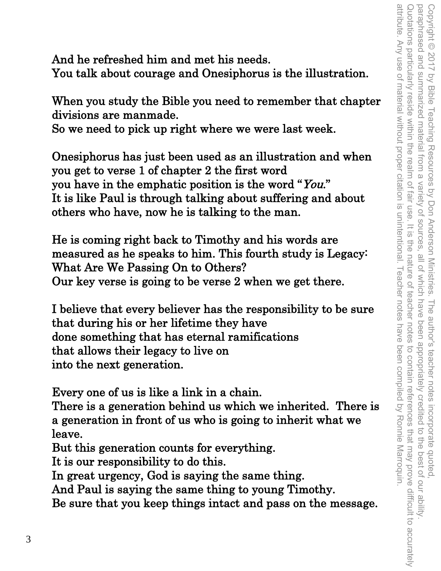And he refreshed him and met his needs. You talk about courage and Onesiphorus is the illustration.

When you study the Bible you need to remember that chapter divisions are manmade.

So we need to pick up right where we were last week.

Onesiphorus has just been used as an illustration and when you get to verse 1 of chapter 2 the first word you have in the emphatic position is the word "You." It is like Paul is through talking about suffering and about others who have, now he is talking to the man.

He is coming right back to Timothy and his words are measured as he speaks to him. This fourth study is Legacy: What Are We Passing On to Others? Our key verse is going to be verse 2 when we get there.

I believe that every believer has the responsibility to be sure that during his or her lifetime they have done something that has eternal ramifications that allows their legacy to live on into the next generation.

Every one of us is like a link in a chain.

There is a generation behind us which we inherited. There is a generation in front of us who is going to inherit what we leave.

But this generation counts for everything.

It is our responsibility to do this.

In great urgency, God is saying the same thing.

And Paul is saying the same thing to young Timothy.

Be sure that you keep things intact and pass on the message.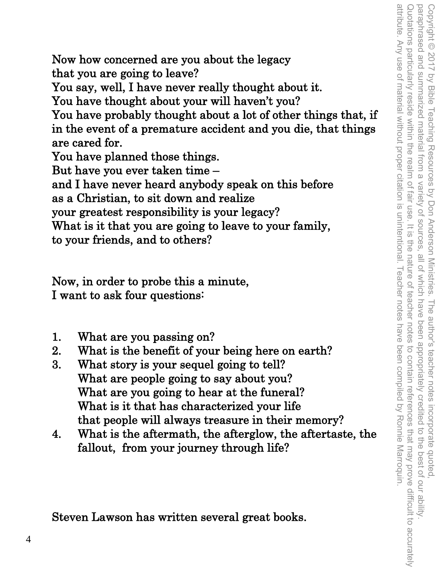attribute. Any use of material without proper citation is unintentional. Teacher notes have been compiled by Ronnie Marroquin. Quotations particularly reside within the realm of fair use. It is the nature of teacher notes to contain references that may prove difficult to accurately Copyright © 2017 by Bible Teaching Resources by Don Anderson Ministries. The author's teacher notes incorporate quoted,<br>paraphrased and summarized material from a variety of sources, all of which have been appropriately c attribute. Any use of material without proper citation is unintentional. Teacher notes have been compiled by Ronnie Marroquin. Quotations particularly reside within the realm of fair use. It is the nature of teacher notes to contain references that may prove difficult to accurately paraphrased and summarized material from a variety of sources, all of which have been appropriately credited to the best of our ability. Copyright © 2017 by Bible Teaching Resources by Don Anderson Ministries. The author's teacher notes incorporate quoted,

Now how concerned are you about the legacy that you are going to leave?

You say, well, I have never really thought about it.

You have thought about your will haven't you?

You have probably thought about a lot of other things that, if in the event of a premature accident and you die, that things are cared for.

You have planned those things.

But have you ever taken time –

and I have never heard anybody speak on this before as a Christian, to sit down and realize

your greatest responsibility is your legacy?

What is it that you are going to leave to your family, to your friends, and to others?

Now, in order to probe this a minute, I want to ask four questions:

- 1. What are you passing on?
- 2. What is the benefit of your being here on earth?
- 3. What story is your sequel going to tell? What are people going to say about you? What are you going to hear at the funeral? What is it that has characterized your life that people will always treasure in their memory?
- 4. What is the aftermath, the afterglow, the aftertaste, the fallout, from your journey through life?

Steven Lawson has written several great books.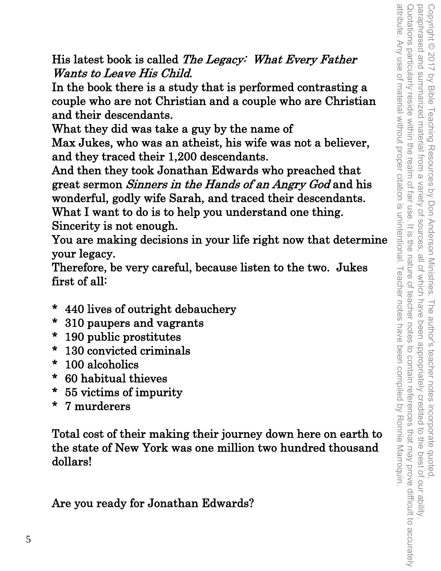His latest book is called The Legacy: What Every Father Wants to Leave His Child.

In the book there is a study that is performed contrasting a couple who are not Christian and a couple who are Christian and their descendants.

What they did was take a guy by the name of

Max Jukes, who was an atheist, his wife was not a believer, and they traced their 1,200 descendants.

And then they took Jonathan Edwards who preached that great sermon Sinners in the Hands of an Angry God and his wonderful, godly wife Sarah, and traced their descendants. What I want to do is to help you understand one thing. Sincerity is not enough.

You are making decisions in your life right now that determine your legacy.

Therefore, be very careful, because listen to the two. Jukes first of all:

- \* 440 lives of outright debauchery
- \* 310 paupers and vagrants
- \* 190 public prostitutes
- \* 130 convicted criminals
- \* 100 alcoholics
- \* 60 habitual thieves
- \* 55 victims of impurity
- \* 7 murderers

Total cost of their making their journey down here on earth to the state of New York was one million two hundred thousand dollars!

Are you ready for Jonathan Edwards?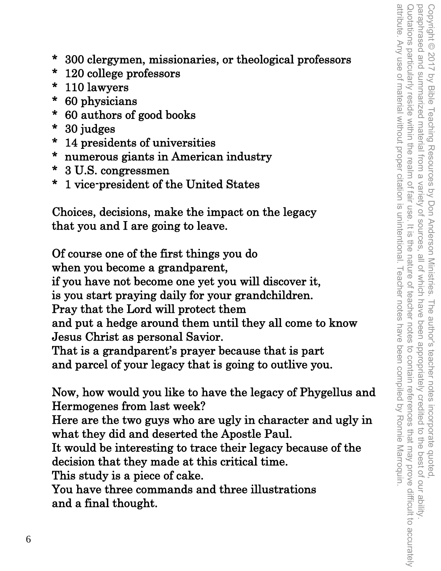- \* 300 clergymen, missionaries, or theological professors
- \* 120 college professors
- \* 110 lawyers
- \* 60 physicians
- \* 60 authors of good books
- \* 30 judges
- \* 14 presidents of universities
- \* numerous giants in American industry
- \* 3 U.S. congressmen
- \* 1 vice-president of the United States

Choices, decisions, make the impact on the legacy that you and I are going to leave.

Of course one of the first things you do when you become a grandparent, if you have not become one yet you will discover it, is you start praying daily for your grandchildren. Pray that the Lord will protect them and put a hedge around them until they all come to know Jesus Christ as personal Savior. That is a grandparent's prayer because that is part and parcel of your legacy that is going to outlive you. Now, how would you like to have the legacy of Phygellus and

Hermogenes from last week?

Here are the two guys who are ugly in character and ugly in what they did and deserted the Apostle Paul.

It would be interesting to trace their legacy because of the decision that they made at this critical time.

This study is a piece of cake.

You have three commands and three illustrations and a final thought.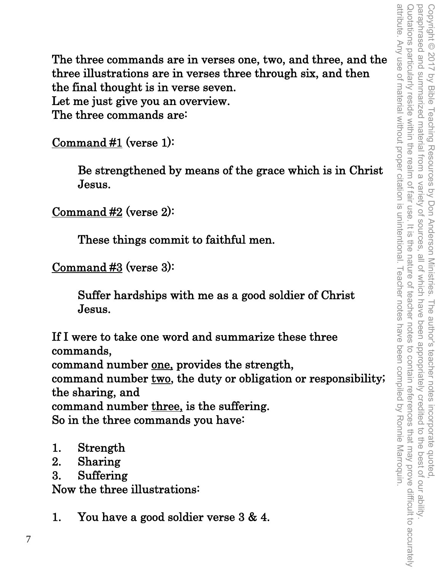The three commands are in verses one, two, and three, and the three illustrations are in verses three through six, and then the final thought is in verse seven. Let me just give you an overview. The three commands are:

Command #1 (verse 1):

Be strengthened by means of the grace which is in Christ Jesus.

Command #2 (verse 2):

These things commit to faithful men.

Command #3 (verse 3):

Suffer hardships with me as a good soldier of Christ Jesus.

If I were to take one word and summarize these three commands, command number one, provides the strength, command number two, the duty or obligation or responsibility; the sharing, and command number three, is the suffering. So in the three commands you have:

- 1. Strength
- 2. Sharing
- 3. Suffering

Now the three illustrations:

1. You have a good soldier verse 3 & 4.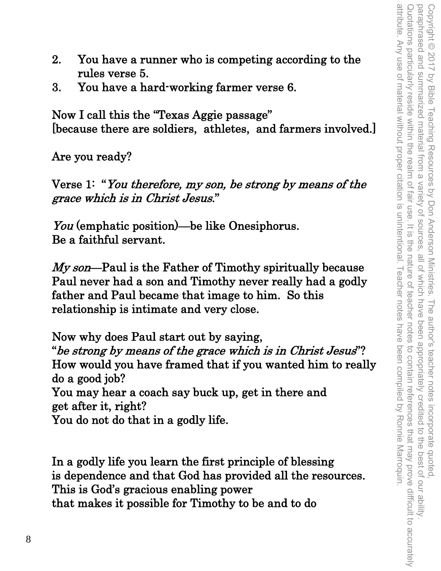- 2. You have a runner who is competing according to the rules verse 5.
- 3. You have a hard-working farmer verse 6.

Now I call this the "Texas Aggie passage" [because there are soldiers, athletes, and farmers involved.]

Are you ready?

Verse 1: "You therefore, my son, be strong by means of the grace which is in Christ Jesus."

You (emphatic position)—be like Onesiphorus. Be a faithful servant.

My son—Paul is the Father of Timothy spiritually because Paul never had a son and Timothy never really had a godly father and Paul became that image to him. So this relationship is intimate and very close.

Now why does Paul start out by saying, "be strong by means of the grace which is in Christ Jesus"? How would you have framed that if you wanted him to really do a good job? You may hear a coach say buck up, get in there and get after it, right? You do not do that in a godly life.

In a godly life you learn the first principle of blessing is dependence and that God has provided all the resources. This is God's gracious enabling power that makes it possible for Timothy to be and to do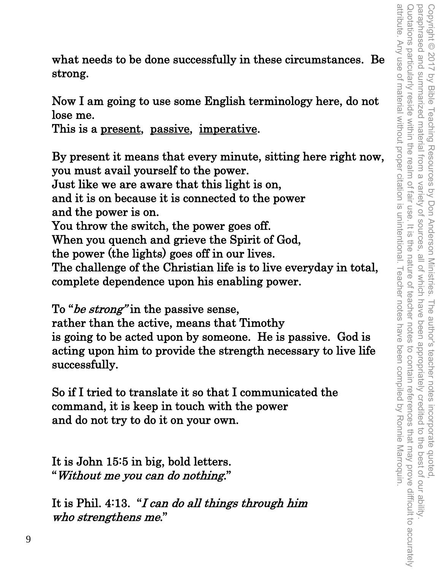what needs to be done successfully in these circumstances. Be strong.

Now I am going to use some English terminology here, do not lose me.

This is a <u>present</u>, passive, imperative.

By present it means that every minute, sitting here right now, you must avail yourself to the power. Just like we are aware that this light is on, and it is on because it is connected to the power and the power is on. You throw the switch, the power goes off. When you quench and grieve the Spirit of God, the power (the lights) goes off in our lives. The challenge of the Christian life is to live everyday in total, complete dependence upon his enabling power.

To "*be strong*" in the passive sense,

rather than the active, means that Timothy is going to be acted upon by someone. He is passive. God is acting upon him to provide the strength necessary to live life successfully.

So if I tried to translate it so that I communicated the command, it is keep in touch with the power and do not try to do it on your own.

It is John 15:5 in big, bold letters. "Without me you can do nothing."

It is Phil. 4:13. "I can do all things through him who strengthens me."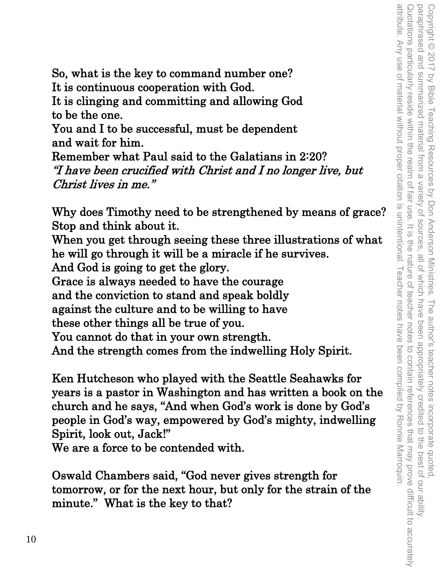So, what is the key to command number one? It is continuous cooperation with God. It is clinging and committing and allowing God

to be the one.

You and I to be successful, must be dependent and wait for him.

Remember what Paul said to the Galatians in 2:20? "I have been crucified with Christ and I no longer live, but Christ lives in me."

Why does Timothy need to be strengthened by means of grace? Stop and think about it.

When you get through seeing these three illustrations of what he will go through it will be a miracle if he survives.

And God is going to get the glory.

Grace is always needed to have the courage

and the conviction to stand and speak boldly

against the culture and to be willing to have

these other things all be true of you.

You cannot do that in your own strength.

And the strength comes from the indwelling Holy Spirit.

Ken Hutcheson who played with the Seattle Seahawks for years is a pastor in Washington and has written a book on the church and he says, "And when God's work is done by God's people in God's way, empowered by God's mighty, indwelling Spirit, look out, Jack!"

We are a force to be contended with.

Oswald Chambers said, "God never gives strength for tomorrow, or for the next hour, but only for the strain of the minute." What is the key to that?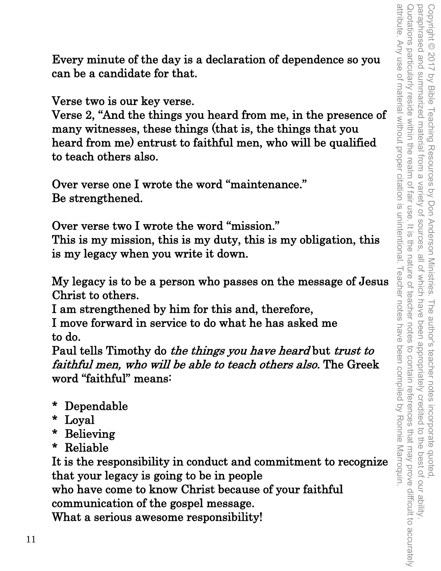Every minute of the day is a declaration of dependence so you can be a candidate for that.

Verse two is our key verse.

Verse 2, "And the things you heard from me, in the presence of many witnesses, these things (that is, the things that you heard from me) entrust to faithful men, who will be qualified to teach others also.

Over verse one I wrote the word "maintenance." Be strengthened.

Over verse two I wrote the word "mission." This is my mission, this is my duty, this is my obligation, this is my legacy when you write it down.

My legacy is to be a person who passes on the message of Jesus Christ to others.

I am strengthened by him for this and, therefore,

I move forward in service to do what he has asked me to do.

Paul tells Timothy do the things you have heard but trust to faithful men, who will be able to teach others also. The Greek word "faithful" means:

- \* Dependable
- \* Loyal
- \* Believing
- \* Reliable

It is the responsibility in conduct and commitment to recognize that your legacy is going to be in people who have come to know Christ because of your faithful communication of the gospel message. What a serious awesome responsibility!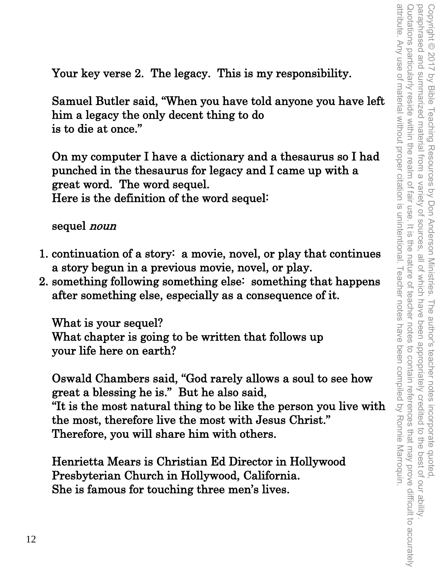Your key verse 2. The legacy. This is my responsibility.

Samuel Butler said, "When you have told anyone you have left him a legacy the only decent thing to do is to die at once."

On my computer I have a dictionary and a thesaurus so I had punched in the thesaurus for legacy and I came up with a great word. The word sequel. Here is the definition of the word sequel:

sequel *noun* 

- 1. continuation of a story: a movie, novel, or play that continues a story begun in a previous movie, novel, or play.
- 2. something following something else: something that happens after something else, especially as a consequence of it.

What is your sequel? What chapter is going to be written that follows up your life here on earth?

Oswald Chambers said, "God rarely allows a soul to see how great a blessing he is." But he also said, "It is the most natural thing to be like the person you live with the most, therefore live the most with Jesus Christ." Therefore, you will share him with others.

Henrietta Mears is Christian Ed Director in Hollywood Presbyterian Church in Hollywood, California. She is famous for touching three men's lives.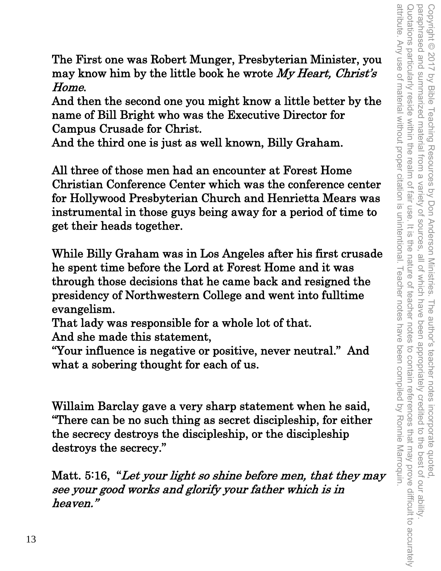attribute. Any use of material without proper citation is unintentional. Teacher notes have been compiled by Ronnie Marroquin Quotations particularly reside within the realm of fair use. It is Copyright © 2017 by Bible Teaching Resources by Don Anderson Ministries. The author's teacher notes incorporate quoted,<br>paraphrased and summarized material from a variety of sources, all of which have been appropriately cr attribute. Any use of material without proper citation is unintentional. Teacher notes have been compiled by Ronnie Marroquin. Quotations particularly reside within the realm of fair use. It is the nature of teacher notes to contain references that may prove difficult to accurately paraphrased and summarized material from a variety of sources, all of which have been appropriately credited to the best of our ability. Copyright © 2017 by Bible Teaching Resources by Don Anderson Ministries. The author's teacher notes incorporate quoted, the nature of teacher notes to contain references that may prove difficult to accurately

The First one was Robert Munger, Presbyterian Minister, you may know him by the little book he wrote  $My$  Heart, Christ's Home.

And then the second one you might know a little better by the name of Bill Bright who was the Executive Director for Campus Crusade for Christ.

And the third one is just as well known, Billy Graham.

All three of those men had an encounter at Forest Home Christian Conference Center which was the conference center for Hollywood Presbyterian Church and Henrietta Mears was instrumental in those guys being away for a period of time to get their heads together.

While Billy Graham was in Los Angeles after his first crusade he spent time before the Lord at Forest Home and it was through those decisions that he came back and resigned the presidency of Northwestern College and went into fulltime evangelism.

That lady was responsible for a whole lot of that.

And she made this statement,

"Your influence is negative or positive, never neutral." And what a sobering thought for each of us.

Willaim Barclay gave a very sharp statement when he said, "There can be no such thing as secret discipleship, for either the secrecy destroys the discipleship, or the discipleship destroys the secrecy."

Matt. 5:16, "Let your light so shine before men, that they may see your good works and glorify your father which is in heaven."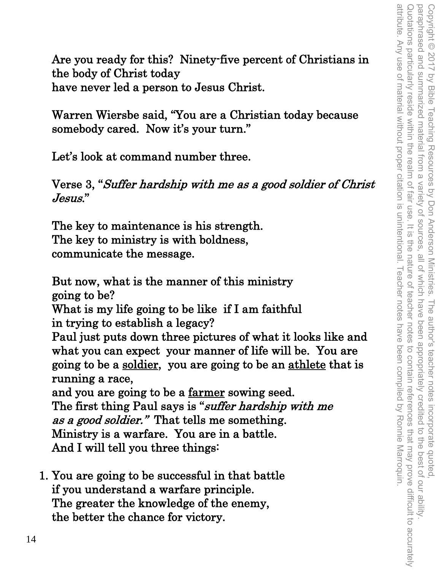Are you ready for this? Ninety-five percent of Christians in the body of Christ today have never led a person to Jesus Christ.

Warren Wiersbe said, "You are a Christian today because somebody cared. Now it's your turn."

Let's look at command number three.

Verse 3, "Suffer hardship with me as a good soldier of Christ Jesus."

The key to maintenance is his strength. The key to ministry is with boldness, communicate the message.

But now, what is the manner of this ministry going to be? What is my life going to be like if I am faithful in trying to establish a legacy? Paul just puts down three pictures of what it looks like and what you can expect your manner of life will be. You are going to be a soldier, you are going to be an athlete that is running a race, and you are going to be a farmer sowing seed. The first thing Paul says is "suffer hardship with me as a good soldier." That tells me something. Ministry is a warfare. You are in a battle. And I will tell you three things:

1. You are going to be successful in that battle if you understand a warfare principle. The greater the knowledge of the enemy, the better the chance for victory.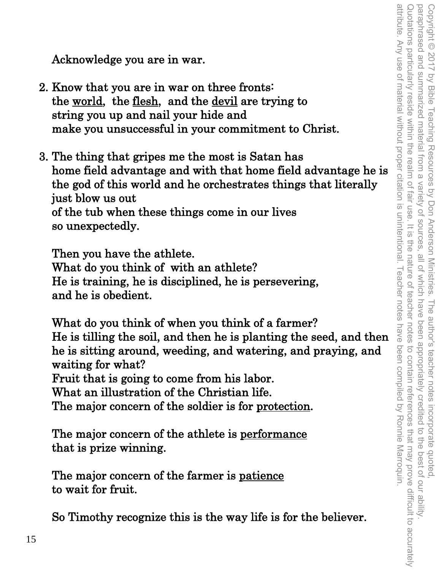Acknowledge you are in war.

- 2. Know that you are in war on three fronts: the world, the flesh, and the devil are trying to string you up and nail your hide and make you unsuccessful in your commitment to Christ.
- 3. The thing that gripes me the most is Satan has home field advantage and with that home field advantage he is the god of this world and he orchestrates things that literally just blow us out of the tub when these things come in our lives so unexpectedly.

Then you have the athlete. What do you think of with an athlete? He is training, he is disciplined, he is persevering, and he is obedient.

What do you think of when you think of a farmer? He is tilling the soil, and then he is planting the seed, and then he is sitting around, weeding, and watering, and praying, and waiting for what? Fruit that is going to come from his labor. What an illustration of the Christian life. The major concern of the soldier is for protection.

The major concern of the athlete is performance that is prize winning.

The major concern of the farmer is patience to wait for fruit.

So Timothy recognize this is the way life is for the believer.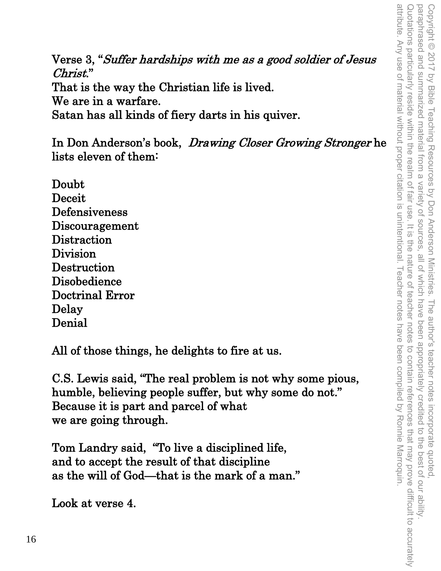Verse 3, "Suffer hardships with me as a good soldier of Jesus Christ." That is the way the Christian life is lived. We are in a warfare. Satan has all kinds of fiery darts in his quiver.

In Don Anderson's book, Drawing Closer Growing Stronger he lists eleven of them:

Doubt Deceit Defensiveness Discouragement **Distraction** Division **Destruction** Disobedience Doctrinal Error Delay Denial

All of those things, he delights to fire at us.

C.S. Lewis said, "The real problem is not why some pious, humble, believing people suffer, but why some do not." Because it is part and parcel of what we are going through.

Tom Landry said, "To live a disciplined life, and to accept the result of that discipline as the will of God—that is the mark of a man."

Look at verse 4.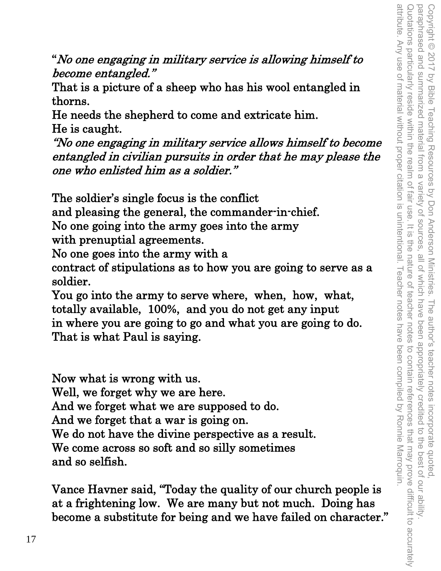attribute. Any use of material without proper citation is unintentional. Teacher notes have been compiled by Ronnie Marroquin. Quotations particularly reside within the realm of fair use. paraphrased and summarized material from a variety of sources attribute. Any use of material without proper citation is unintentional. Teacher notes have been compiled by Ronnie Marroquin. Quotations particularly reside within the realm of fair use. It is the nature of teacher notes to contain references that may prove difficult to accurately Copyright © 2017 by Bible Teaching Resources by Don Anderson Ministries. The author's teacher notes incorporate quoted,<br>paraphrased and summarized material from a variety of sources, all of which have been appropriately c paraphrased and summarized material from a variety of sources, all of which have been appropriately credited to the best of our ability. Copyright © 2017 by Bible Teaching Resources by Don Anderson Ministries. The author's teacher notes incorporate quoted,  $=$   $\frac{1}{2}$ the nature of teacher notes to contain references that may prove difficult to accurately

"No one engaging in military service is allowing himself to become entangled."

That is a picture of a sheep who has his wool entangled in thorns.

He needs the shepherd to come and extricate him. He is caught.

"No one engaging in military service allows himself to become entangled in civilian pursuits in order that he may please the one who enlisted him as a soldier."

The soldier's single focus is the conflict

and pleasing the general, the commander-in-chief.

No one going into the army goes into the army

with prenuptial agreements.

No one goes into the army with a

contract of stipulations as to how you are going to serve as a soldier.

You go into the army to serve where, when, how, what, totally available, 100%, and you do not get any input in where you are going to go and what you are going to do. That is what Paul is saying.

Now what is wrong with us. Well, we forget why we are here. And we forget what we are supposed to do. And we forget that a war is going on. We do not have the divine perspective as a result. We come across so soft and so silly sometimes and so selfish.

Vance Havner said, "Today the quality of our church people is at a frightening low. We are many but not much. Doing has become a substitute for being and we have failed on character."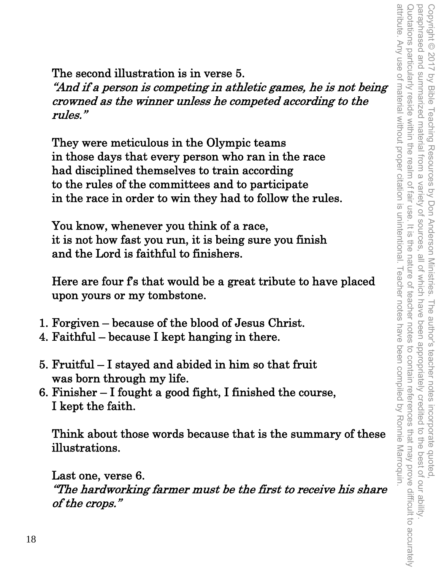attribute. Any use of material without proper citation is unintentional. Teacher notes have been compiled by Ronnie Marroquin. Quotations particularly reside within the realm of fair use. paraphrased and summarized material from a variety of sources. attribute. Any use of material without proper citation is unintentional. Teacher notes have been compiled by Ronnie Marroquin. Quotations particularly reside within the realm of fair use. It is the nature of teacher notes to contain references that may prove difficult to accurately Copyright © 2017 by Bible Teaching Resources by Don Anderson Ministries. The author's teacher notes incorporate quoted,<br>paraphrased and summarized material from a variety of sources, all of which have been appropriately c paraphrased and summarized material from a variety of sources, all of which have been appropriately credited to the best of our ability. Copyright © 2017 by Bible Teaching Resources by Don Anderson Ministries. The author's teacher notes incorporate quoted,  $rac{1}{\sqrt{2}}$ the nature of teacher notes to contain references that may prove difficult to accurately

The second illustration is in verse 5.

"And if a person is competing in athletic games, he is not being crowned as the winner unless he competed according to the rules."

They were meticulous in the Olympic teams in those days that every person who ran in the race had disciplined themselves to train according to the rules of the committees and to participate in the race in order to win they had to follow the rules.

You know, whenever you think of a race, it is not how fast you run, it is being sure you finish and the Lord is faithful to finishers.

Here are four f's that would be a great tribute to have placed upon yours or my tombstone.

- 1. Forgiven because of the blood of Jesus Christ.
- 4. Faithful because I kept hanging in there.
- 5. Fruitful I stayed and abided in him so that fruit was born through my life.
- 6. Finisher I fought a good fight, I finished the course, I kept the faith.

Think about those words because that is the summary of these illustrations.

Last one, verse 6. "The hardworking farmer must be the first to receive his share of the crops."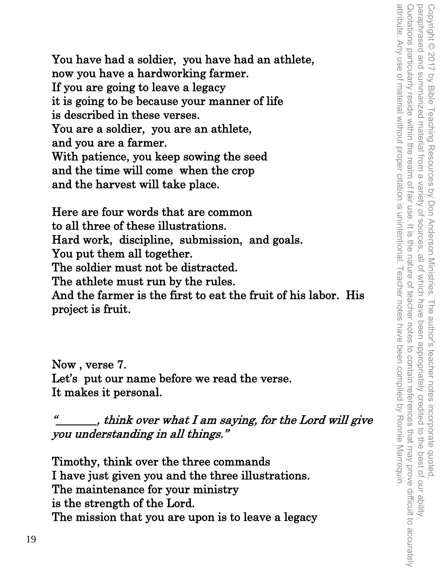You have had a soldier, you have had an athlete, now you have a hardworking farmer. If you are going to leave a legacy it is going to be because your manner of life is described in these verses. You are a soldier, you are an athlete, and you are a farmer. With patience, you keep sowing the seed and the time will come when the crop and the harvest will take place.

Here are four words that are common to all three of these illustrations. Hard work, discipline, submission, and goals. You put them all together. The soldier must not be distracted. The athlete must run by the rules. And the farmer is the first to eat the fruit of his labor. His project is fruit.

Now , verse 7. Let's put our name before we read the verse. It makes it personal.

 $\frac{u}{\sqrt{2}}$ , think over what I am saying, for the Lord will give you understanding in all things."

Timothy, think over the three commands I have just given you and the three illustrations. The maintenance for your ministry is the strength of the Lord. The mission that you are upon is to leave a legacy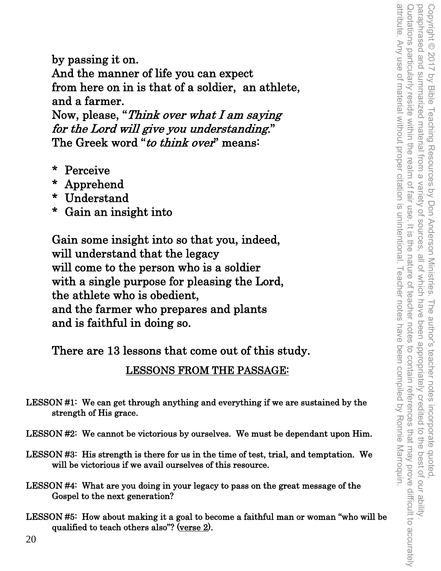by passing it on. And the manner of life you can expect from here on in is that of a soldier, an athlete, and a farmer. Now, please, "Think over what I am saying for the Lord will give you understanding."

- The Greek word "to think over" means:
- \* Perceive
- \* Apprehend
- \* Understand
- \* Gain an insight into

Gain some insight into so that you, indeed, will understand that the legacy will come to the person who is a soldier with a single purpose for pleasing the Lord, the athlete who is obedient, and the farmer who prepares and plants and is faithful in doing so.

There are 13 lessons that come out of this study.

LESSONS FROM THE PASSAGE:

LESSON #1: We can get through anything and everything if we are sustained by the strength of His grace.

LESSON #2: We cannot be victorious by ourselves. We must be dependant upon Him.

- LESSON #3: His strength is there for us in the time of test, trial, and temptation. We will be victorious if we avail ourselves of this resource.
- LESSON #4: What are you doing in your legacy to pass on the great message of the Gospel to the next generation?
- LESSON #5: How about making it a goal to become a faithful man or woman "who will be qualified to teach others also"? (verse 2).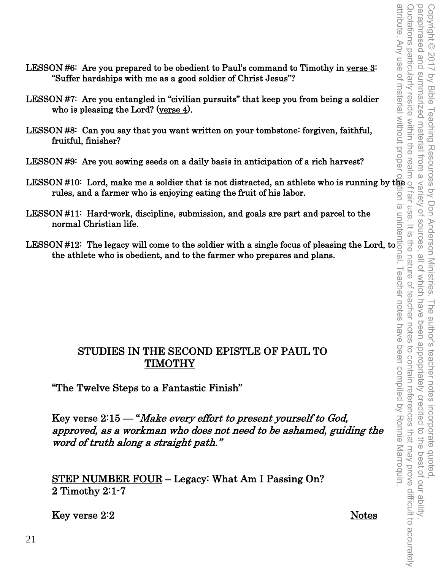- LESSON #6: Are you prepared to be obedient to Paul's command to Timothy in verse 3: "Suffer hardships with me as a good soldier of Christ Jesus"?
- LESSON #7: Are you entangled in "civilian pursuits" that keep you from being a soldier who is pleasing the Lord? (verse 4).
- LESSON #8: Can you say that you want written on your tombstone: forgiven, faithful, fruitful, finisher?
- LESSON #9: Are you sowing seeds on a daily basis in anticipation of a rich harvest?
- LESSON #10: Lord, make me a soldier that is not distracted, an athlete who is running by the rules, and a farmer who is enjoying eating the fruit of his labor.
- LESSON #11: Hard-work, discipline, submission, and goals are part and parcel to the normal Christian life.
- the athlete who is obedient, and to the farmer who prepares and plans.

## STUDIES IN THE SECOND EPISTLE OF PAUL TO TIMOTHY

"The Twelve Steps to a Fantastic Finish"

rules, and a farmer who is enjoying eating the fruit of his labor.<br>
LESSON #11: Hard-work, discipline, submission, and goals are part and parcel to the<br>
normal Christian life.<br>
LESSON #12: The legacy will come to the sold Key verse 2:15 — "Make every effort to present yourself to God, approved, as a workman who does not need to be ashamed, guiding the word of truth along a straight path."

STEP NUMBER FOUR – Legacy: What Am I Passing On? 2 Timothy 2:1-7

Key verse 2:2 Notes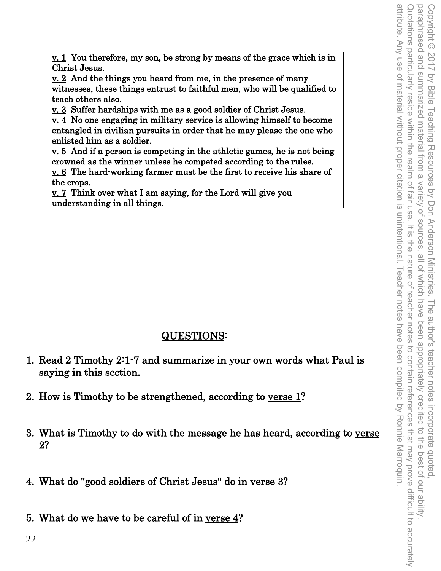v. 1 You therefore, my son, be strong by means of the grace which is in Christ Jesus.

 $\underline{v}$ . 2 And the things you heard from me, in the presence of many witnesses, these things entrust to faithful men, who will be qualified to teach others also.

v. 3 Suffer hardships with me as a good soldier of Christ Jesus.

v. 4 No one engaging in military service is allowing himself to become entangled in civilian pursuits in order that he may please the one who enlisted him as a soldier.

v. 5 And if a person is competing in the athletic games, he is not being crowned as the winner unless he competed according to the rules.

v. 6 The hard-working farmer must be the first to receive his share of the crops.

 $\underline{v.}$  7 Think over what I am saying, for the Lord will give you understanding in all things.

## QUESTIONS:

- 1. Read 2 Timothy 2:1-7 and summarize in your own words what Paul is saying in this section.
- 2. How is Timothy to be strengthened, according to verse 1?
- 3. What is Timothy to do with the message he has heard, according to verse 2?
- 4. What do "good soldiers of Christ Jesus" do in verse 3?
- 5. What do we have to be careful of in verse 4?